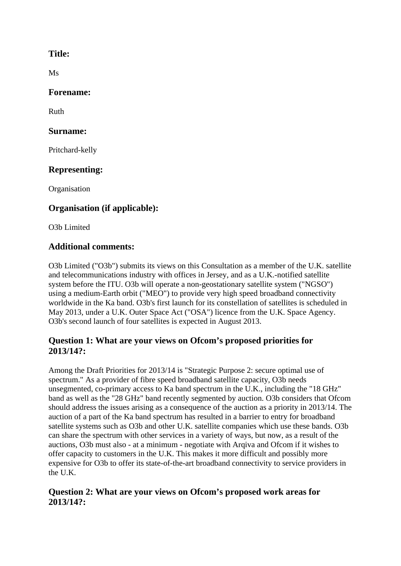#### **Title:**

Ms

#### **Forename:**

Ruth

#### **Surname:**

Pritchard-kelly

# **Representing:**

**Organisation** 

# **Organisation (if applicable):**

O3b Limited

# **Additional comments:**

O3b Limited ("O3b") submits its views on this Consultation as a member of the U.K. satellite and telecommunications industry with offices in Jersey, and as a U.K.-notified satellite system before the ITU. O3b will operate a non-geostationary satellite system ("NGSO") using a medium-Earth orbit ("MEO") to provide very high speed broadband connectivity worldwide in the Ka band. O3b's first launch for its constellation of satellites is scheduled in May 2013, under a U.K. Outer Space Act ("OSA") licence from the U.K. Space Agency. O3b's second launch of four satellites is expected in August 2013.

## **Question 1: What are your views on Ofcom's proposed priorities for 2013/14?:**

Among the Draft Priorities for 2013/14 is "Strategic Purpose 2: secure optimal use of spectrum." As a provider of fibre speed broadband satellite capacity, O3b needs unsegmented, co-primary access to Ka band spectrum in the U.K., including the "18 GHz" band as well as the "28 GHz" band recently segmented by auction. O3b considers that Ofcom should address the issues arising as a consequence of the auction as a priority in 2013/14. The auction of a part of the Ka band spectrum has resulted in a barrier to entry for broadband satellite systems such as O3b and other U.K. satellite companies which use these bands. O3b can share the spectrum with other services in a variety of ways, but now, as a result of the auctions, O3b must also - at a minimum - negotiate with Arqiva and Ofcom if it wishes to offer capacity to customers in the U.K. This makes it more difficult and possibly more expensive for O3b to offer its state-of-the-art broadband connectivity to service providers in the U.K.

## **Question 2: What are your views on Ofcom's proposed work areas for 2013/14?:**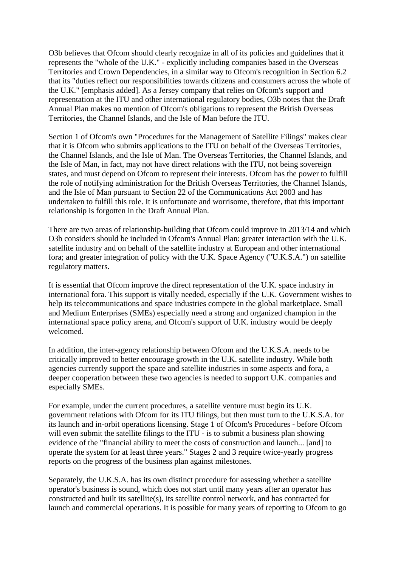O3b believes that Ofcom should clearly recognize in all of its policies and guidelines that it represents the "whole of the U.K." - explicitly including companies based in the Overseas Territories and Crown Dependencies, in a similar way to Ofcom's recognition in Section 6.2 that its "duties reflect our responsibilities towards citizens and consumers across the whole of the U.K." [emphasis added]. As a Jersey company that relies on Ofcom's support and representation at the ITU and other international regulatory bodies, O3b notes that the Draft Annual Plan makes no mention of Ofcom's obligations to represent the British Overseas Territories, the Channel Islands, and the Isle of Man before the ITU.

Section 1 of Ofcom's own "Procedures for the Management of Satellite Filings" makes clear that it is Ofcom who submits applications to the ITU on behalf of the Overseas Territories, the Channel Islands, and the Isle of Man. The Overseas Territories, the Channel Islands, and the Isle of Man, in fact, may not have direct relations with the ITU, not being sovereign states, and must depend on Ofcom to represent their interests. Ofcom has the power to fulfill the role of notifying administration for the British Overseas Territories, the Channel Islands, and the Isle of Man pursuant to Section 22 of the Communications Act 2003 and has undertaken to fulfill this role. It is unfortunate and worrisome, therefore, that this important relationship is forgotten in the Draft Annual Plan.

There are two areas of relationship-building that Ofcom could improve in 2013/14 and which O3b considers should be included in Ofcom's Annual Plan: greater interaction with the U.K. satellite industry and on behalf of the satellite industry at European and other international fora; and greater integration of policy with the U.K. Space Agency ("U.K.S.A.") on satellite regulatory matters.

It is essential that Ofcom improve the direct representation of the U.K. space industry in international fora. This support is vitally needed, especially if the U.K. Government wishes to help its telecommunications and space industries compete in the global marketplace. Small and Medium Enterprises (SMEs) especially need a strong and organized champion in the international space policy arena, and Ofcom's support of U.K. industry would be deeply welcomed.

In addition, the inter-agency relationship between Ofcom and the U.K.S.A. needs to be critically improved to better encourage growth in the U.K. satellite industry. While both agencies currently support the space and satellite industries in some aspects and fora, a deeper cooperation between these two agencies is needed to support U.K. companies and especially SMEs.

For example, under the current procedures, a satellite venture must begin its U.K. government relations with Ofcom for its ITU filings, but then must turn to the U.K.S.A. for its launch and in-orbit operations licensing. Stage 1 of Ofcom's Procedures - before Ofcom will even submit the satellite filings to the ITU - is to submit a business plan showing evidence of the "financial ability to meet the costs of construction and launch... [and] to operate the system for at least three years." Stages 2 and 3 require twice-yearly progress reports on the progress of the business plan against milestones.

Separately, the U.K.S.A. has its own distinct procedure for assessing whether a satellite operator's business is sound, which does not start until many years after an operator has constructed and built its satellite(s), its satellite control network, and has contracted for launch and commercial operations. It is possible for many years of reporting to Ofcom to go